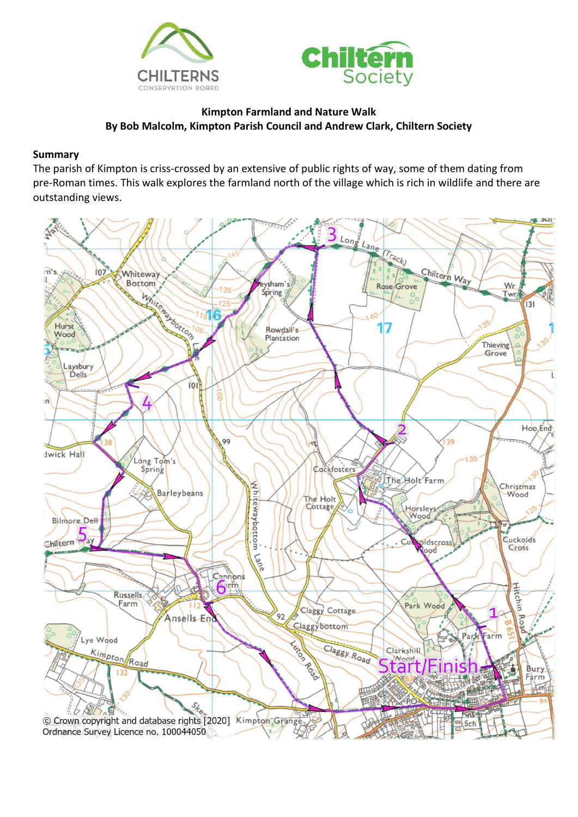



## **Kimpton Farmland and Nature Walk By Bob Malcolm, Kimpton Parish Council and Andrew Clark, Chiltern Society**

## **Summary**

The parish of Kimpton is criss-crossed by an extensive of public rights of way, some of them dating from pre-Roman times. This walk explores the farmland north of the village which is rich in wildlife and there are outstanding views.

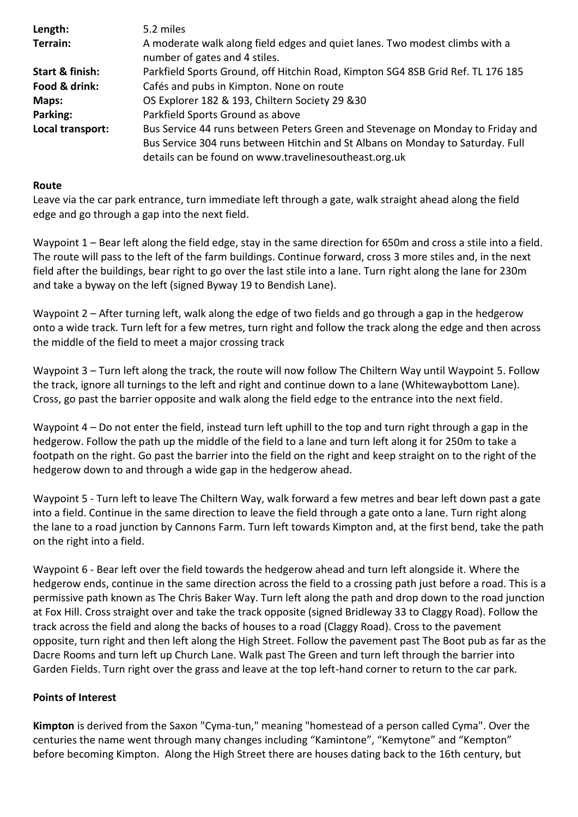| Length:          | 5.2 miles                                                                                                                                                                                                                 |
|------------------|---------------------------------------------------------------------------------------------------------------------------------------------------------------------------------------------------------------------------|
| Terrain:         | A moderate walk along field edges and quiet lanes. Two modest climbs with a<br>number of gates and 4 stiles.                                                                                                              |
| Start & finish:  | Parkfield Sports Ground, off Hitchin Road, Kimpton SG4 8SB Grid Ref. TL 176 185                                                                                                                                           |
| Food & drink:    | Cafés and pubs in Kimpton. None on route                                                                                                                                                                                  |
| Maps:            | OS Explorer 182 & 193, Chiltern Society 29 & 30                                                                                                                                                                           |
| Parking:         | Parkfield Sports Ground as above                                                                                                                                                                                          |
| Local transport: | Bus Service 44 runs between Peters Green and Stevenage on Monday to Friday and<br>Bus Service 304 runs between Hitchin and St Albans on Monday to Saturday. Full<br>details can be found on www.travelinesoutheast.org.uk |

## **Route**

edge and go through a gap into the next field. Leave via the car park entrance, turn immediate left through a gate, walk straight ahead along the field

and take a byway on the left (signed Byway 19 to Bendish Lane). field after the buildings, bear right to go over the last stile into a lane. Turn right along the lane for 230m The route will pass to the left of the farm buildings. Continue forward, cross 3 more stiles and, in the next Waypoint 1 – Bear left along the field edge, stay in the same direction for 650m and cross a stile into a field.

the middle of the field to meet a major crossing track onto a wide track. Turn left for a few metres, turn right and follow the track along the edge and then across Waypoint 2 – After turning left, walk along the edge of two fields and go through a gap in the hedgerow

Cross, go past the barrier opposite and walk along the field edge to the entrance into the next field. the track, ignore all turnings to the left and right and continue down to a lane (Whitewaybottom Lane). Waypoint 3 – Turn left along the track, the route will now follow The Chiltern Way until Waypoint 5. Follow

hedgerow down to and through a wide gap in the hedgerow ahead. footpath on the right. Go past the barrier into the field on the right and keep straight on to the right of the hedgerow. Follow the path up the middle of the field to a lane and turn left along it for 250m to take a Waypoint 4 – Do not enter the field, instead turn left uphill to the top and turn right through a gap in the

on the right into a field. the lane to a road junction by Cannons Farm. Turn left towards Kimpton and, at the first bend, take the path into a field. Continue in the same direction to leave the field through a gate onto a lane. Turn right along Waypoint 5 - Turn left to leave The Chiltern Way, walk forward a few metres and bear left down past a gate

Garden Fields. Turn right over the grass and leave at the top left-hand corner to return to the car park. Dacre Rooms and turn left up Church Lane. Walk past The Green and turn left through the barrier into opposite, turn right and then left along the High Street. Follow the pavement past The Boot pub as far as the track across the field and along the backs of houses to a road (Claggy Road). Cross to the pavement at Fox Hill. Cross straight over and take the track opposite (signed Bridleway 33 to Claggy Road). Follow the permissive path known as The Chris Baker Way. Turn left along the path and drop down to the road junction hedgerow ends, continue in the same direction across the field to a crossing path just before a road. This is a Waypoint 6 - Bear left over the field towards the hedgerow ahead and turn left alongside it. Where the

## **Points of Interest**

before becoming Kimpton. Along the High Street there are houses dating back to the 16th century, but centuries the name went through many changes including "Kamintone", "Kemytone" and "Kempton" **Kimpton** is derived from the Saxon "Cyma-tun," meaning "homestead of a person called Cyma". Over the